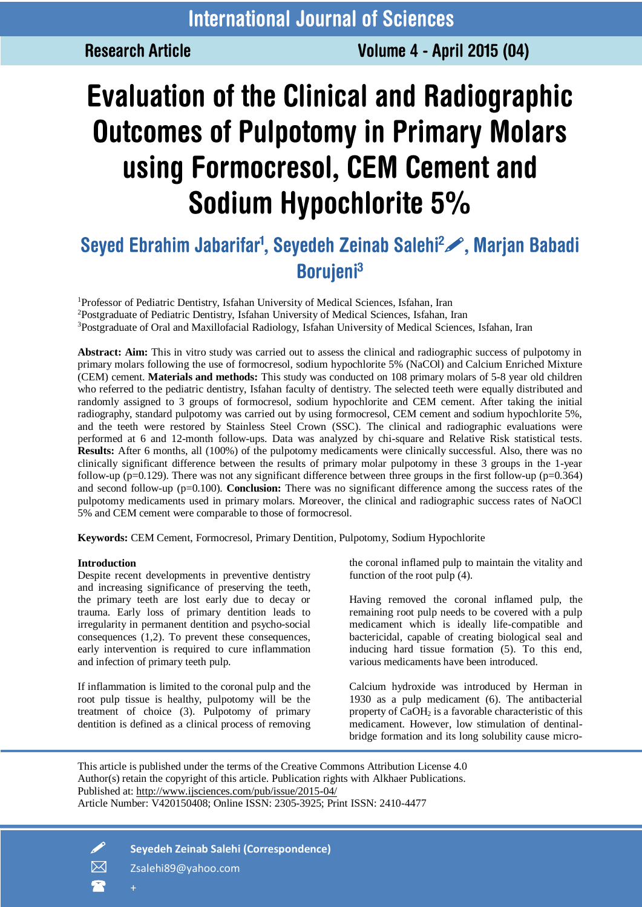**Research Article** 

# **Evaluation of the Clinical and Radiographic Outcomes of Pulpotomy in Primary Molars** using Formocresol, CEM Cement and Sodium Hypochlorite 5%

# Seyed Ebrahim Jabarifar<sup>1</sup>, Seyedeh Zeinab Salehi<sup>2</sup> , Marjan Babadi **Borujeni**<sup>3</sup>

<sup>1</sup>Professor of Pediatric Dentistry, Isfahan University of Medical Sciences, Isfahan, Iran <sup>2</sup>Postgraduate of Pediatric Dentistry, Isfahan University of Medical Sciences, Isfahan, Iran <sup>3</sup>Postgraduate of Oral and Maxillofacial Radiology, Isfahan University of Medical Sciences, Isfahan, Iran

**Abstract: Aim:** This in vitro study was carried out to assess the clinical and radiographic success of pulpotomy in primary molars following the use of formocresol, sodium hypochlorite 5% (NaCOl) and Calcium Enriched Mixture (CEM) cement. **Materials and methods:** This study was conducted on 108 primary molars of 5-8 year old children who referred to the pediatric dentistry, Isfahan faculty of dentistry. The selected teeth were equally distributed and randomly assigned to 3 groups of formocresol, sodium hypochlorite and CEM cement. After taking the initial radiography, standard pulpotomy was carried out by using formocresol, CEM cement and sodium hypochlorite 5%, and the teeth were restored by Stainless Steel Crown (SSC). The clinical and radiographic evaluations were performed at 6 and 12-month follow-ups. Data was analyzed by chi-square and Relative Risk statistical tests. **Results:** After 6 months, all (100%) of the pulpotomy medicaments were clinically successful. Also, there was no clinically significant difference between the results of primary molar pulpotomy in these 3 groups in the 1-year follow-up (p=0.129). There was not any significant difference between three groups in the first follow-up (p=0.364) and second follow-up (p=0.100). **Conclusion:** There was no significant difference among the success rates of the pulpotomy medicaments used in primary molars. Moreover, the clinical and radiographic success rates of NaOCl 5% and CEM cement were comparable to those of formocresol.

**Keywords:** CEM Cement, Formocresol, Primary Dentition, Pulpotomy, Sodium Hypochlorite

### **Introduction**

Despite recent developments in preventive dentistry and increasing significance of preserving the teeth, the primary teeth are lost early due to decay or trauma. Early loss of primary dentition leads to irregularity in permanent dentition and psycho-social consequences (1,2). To prevent these consequences, early intervention is required to cure inflammation and infection of primary teeth pulp.

If inflammation is limited to the coronal pulp and the root pulp tissue is healthy, pulpotomy will be the treatment of choice (3). Pulpotomy of primary dentition is defined as a clinical process of removing

the coronal inflamed pulp to maintain the vitality and function of the root pulp (4).

Having removed the coronal inflamed pulp, the remaining root pulp needs to be covered with a pulp medicament which is ideally life-compatible and bactericidal, capable of creating biological seal and inducing hard tissue formation (5). To this end, various medicaments have been introduced.

Calcium hydroxide was introduced by Herman in 1930 as a pulp medicament (6). The antibacterial property of CaOH<sup>2</sup> is a favorable characteristic of this medicament. However, low stimulation of dentinalbridge formation and its long solubility cause micro-

This article is published under the terms of the Creative Commons Attribution License 4.0 Author(s) retain the copyright of this article. Publication rights with Alkhaer Publications. Published at: [http://www.ijsciences.com/pub/issue/2015-04/](ttp://www.ijsciences.com/pub/issue/2015-04/) Article Number: V420150408; Online ISSN: 2305-3925; Print ISSN: 2410-4477



**Seyedeh Zeinab Salehi (Correspondence)**

 $\boxtimes$  zsalehi89@yahoo.com

 $\bullet$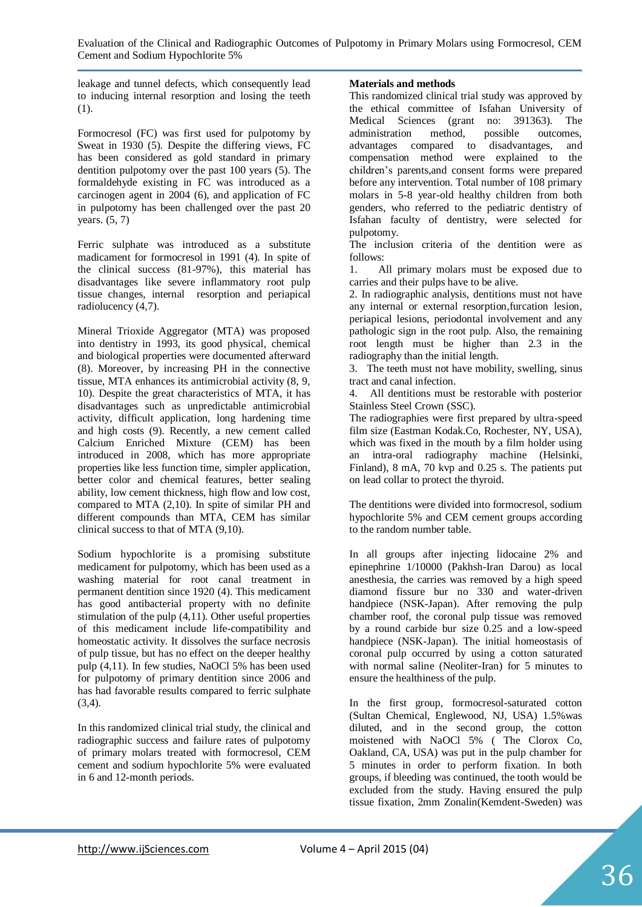leakage and tunnel defects, which consequently lead to inducing internal resorption and losing the teeth (1).

Formocresol (FC) was first used for pulpotomy by Sweat in 1930 (5). Despite the differing views, FC has been considered as gold standard in primary dentition pulpotomy over the past 100 years (5). The formaldehyde existing in FC was introduced as a carcinogen agent in 2004 (6), and application of FC in pulpotomy has been challenged over the past 20 years. (5, 7)

Ferric sulphate was introduced as a substitute madicament for formocresol in 1991 (4). In spite of the clinical success (81-97%), this material has disadvantages like severe inflammatory root pulp tissue changes, internal resorption and periapical radiolucency (4,7).

Mineral Trioxide Aggregator (MTA) was proposed into dentistry in 1993, its good physical, chemical and biological properties were documented afterward (8). Moreover, by increasing PH in the connective tissue, MTA enhances its antimicrobial activity (8, 9, 10). Despite the great characteristics of MTA, it has disadvantages such as unpredictable antimicrobial activity, difficult application, long hardening time and high costs (9). Recently, a new cement called Calcium Enriched Mixture (CEM) has been introduced in 2008, which has more appropriate properties like less function time, simpler application, better color and chemical features, better sealing ability, low cement thickness, high flow and low cost, compared to MTA (2,10). In spite of similar PH and different compounds than MTA, CEM has similar clinical success to that of MTA (9,10).

Sodium hypochlorite is a promising substitute medicament for pulpotomy, which has been used as a washing material for root canal treatment in permanent dentition since 1920 (4). This medicament has good antibacterial property with no definite stimulation of the pulp (4,11). Other useful properties of this medicament include life-compatibility and homeostatic activity. It dissolves the surface necrosis of pulp tissue, but has no effect on the deeper healthy pulp (4,11). In few studies, NaOCl 5% has been used for pulpotomy of primary dentition since 2006 and has had favorable results compared to ferric sulphate (3,4).

In this randomized clinical trial study, the clinical and radiographic success and failure rates of pulpotomy of primary molars treated with formocresol, CEM cement and sodium hypochlorite 5% were evaluated in 6 and 12-month periods.

# **Materials and methods**

This randomized clinical trial study was approved by the ethical committee of Isfahan University of Medical Sciences (grant no: 391363). The administration method, possible outcomes, advantages compared to disadvantages, and compensation method were explained to the children's parents,and consent forms were prepared before any intervention. Total number of 108 primary molars in 5-8 year-old healthy children from both genders, who referred to the pediatric dentistry of Isfahan faculty of dentistry, were selected for pulpotomy.

The inclusion criteria of the dentition were as follows:

1. All primary molars must be exposed due to carries and their pulps have to be alive.

2. In radiographic analysis, dentitions must not have any internal or external resorption,furcation lesion, periapical lesions, periodontal involvement and any pathologic sign in the root pulp. Also, the remaining root length must be higher than 2.3 in the radiography than the initial length.

3. The teeth must not have mobility, swelling, sinus tract and canal infection.

4. All dentitions must be restorable with posterior Stainless Steel Crown (SSC).

The radiographies were first prepared by ultra-speed film size (Eastman Kodak.Co, Rochester, NY, USA), which was fixed in the mouth by a film holder using an intra-oral radiography machine (Helsinki, Finland), 8 mA, 70 kvp and 0.25 s. The patients put on lead collar to protect the thyroid.

The dentitions were divided into formocresol, sodium hypochlorite 5% and CEM cement groups according to the random number table.

In all groups after injecting lidocaine 2% and epinephrine 1/10000 (Pakhsh-Iran Darou) as local anesthesia, the carries was removed by a high speed diamond fissure bur no 330 and water-driven handpiece (NSK-Japan). After removing the pulp chamber roof, the coronal pulp tissue was removed by a round carbide bur size 0.25 and a low-speed handpiece (NSK-Japan). The initial homeostasis of coronal pulp occurred by using a cotton saturated with normal saline (Neoliter-Iran) for 5 minutes to ensure the healthiness of the pulp.

In the first group, formocresol-saturated cotton (Sultan Chemical, Englewood, NJ, USA) 1.5%was diluted, and in the second group, the cotton moistened with NaOCl 5% ( The Clorox Co, Oakland, CA, USA) was put in the pulp chamber for 5 minutes in order to perform fixation. In both groups, if bleeding was continued, the tooth would be excluded from the study. Having ensured the pulp tissue fixation, 2mm Zonalin(Kemdent-Sweden) was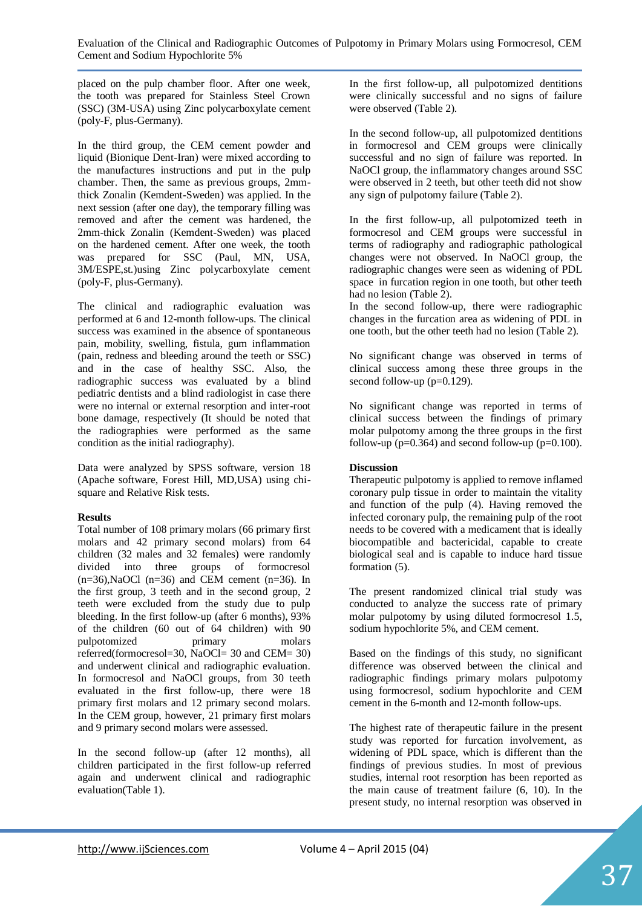placed on the pulp chamber floor. After one week, the tooth was prepared for Stainless Steel Crown (SSC) (3M-USA) using Zinc polycarboxylate cement (poly-F, plus-Germany).

In the third group, the CEM cement powder and liquid (Bionique Dent-Iran) were mixed according to the manufactures instructions and put in the pulp chamber. Then, the same as previous groups, 2mmthick Zonalin (Kemdent-Sweden) was applied. In the next session (after one day), the temporary filling was removed and after the cement was hardened, the 2mm-thick Zonalin (Kemdent-Sweden) was placed on the hardened cement. After one week, the tooth was prepared for SSC (Paul, MN, USA, 3M/ESPE,st.)using Zinc polycarboxylate cement (poly-F, plus-Germany).

The clinical and radiographic evaluation was performed at 6 and 12-month follow-ups. The clinical success was examined in the absence of spontaneous pain, mobility, swelling, fistula, gum inflammation (pain, redness and bleeding around the teeth or SSC) and in the case of healthy SSC. Also, the radiographic success was evaluated by a blind pediatric dentists and a blind radiologist in case there were no internal or external resorption and inter-root bone damage, respectively (It should be noted that the radiographies were performed as the same condition as the initial radiography).

Data were analyzed by SPSS software, version 18 (Apache software, Forest Hill, MD,USA) using chisquare and Relative Risk tests.

### **Results**

Total number of 108 primary molars (66 primary first molars and 42 primary second molars) from 64 children (32 males and 32 females) were randomly divided into three groups of formocresol  $(n=36)$ , NaOCl  $(n=36)$  and CEM cement  $(n=36)$ . In the first group, 3 teeth and in the second group, 2 teeth were excluded from the study due to pulp bleeding. In the first follow-up (after 6 months), 93% of the children (60 out of 64 children) with 90 pulpotomized primary molars referred(formocresol=30, NaOCl= 30 and CEM= 30) and underwent clinical and radiographic evaluation. In formocresol and NaOCl groups, from 30 teeth evaluated in the first follow-up, there were 18 primary first molars and 12 primary second molars. In the CEM group, however, 21 primary first molars and 9 primary second molars were assessed.

In the second follow-up (after 12 months), all children participated in the first follow-up referred again and underwent clinical and radiographic evaluation(Table 1).

In the first follow-up, all pulpotomized dentitions were clinically successful and no signs of failure were observed (Table 2).

In the second follow-up, all pulpotomized dentitions in formocresol and CEM groups were clinically successful and no sign of failure was reported. In NaOCl group, the inflammatory changes around SSC were observed in 2 teeth, but other teeth did not show any sign of pulpotomy failure (Table 2).

In the first follow-up, all pulpotomized teeth in formocresol and CEM groups were successful in terms of radiography and radiographic pathological changes were not observed. In NaOCl group, the radiographic changes were seen as widening of PDL space in furcation region in one tooth, but other teeth had no lesion (Table 2).

In the second follow-up, there were radiographic changes in the furcation area as widening of PDL in one tooth, but the other teeth had no lesion (Table 2).

No significant change was observed in terms of clinical success among these three groups in the second follow-up (p=0.129).

No significant change was reported in terms of clinical success between the findings of primary molar pulpotomy among the three groups in the first follow-up ( $p=0.364$ ) and second follow-up ( $p=0.100$ ).

# **Discussion**

Therapeutic pulpotomy is applied to remove inflamed coronary pulp tissue in order to maintain the vitality and function of the pulp (4). Having removed the infected coronary pulp, the remaining pulp of the root needs to be covered with a medicament that is ideally biocompatible and bactericidal, capable to create biological seal and is capable to induce hard tissue formation (5).

The present randomized clinical trial study was conducted to analyze the success rate of primary molar pulpotomy by using diluted formocresol 1.5, sodium hypochlorite 5%, and CEM cement.

Based on the findings of this study, no significant difference was observed between the clinical and radiographic findings primary molars pulpotomy using formocresol, sodium hypochlorite and CEM cement in the 6-month and 12-month follow-ups.

The highest rate of therapeutic failure in the present study was reported for furcation involvement, as widening of PDL space, which is different than the findings of previous studies. In most of previous studies, internal root resorption has been reported as the main cause of treatment failure (6, 10). In the present study, no internal resorption was observed in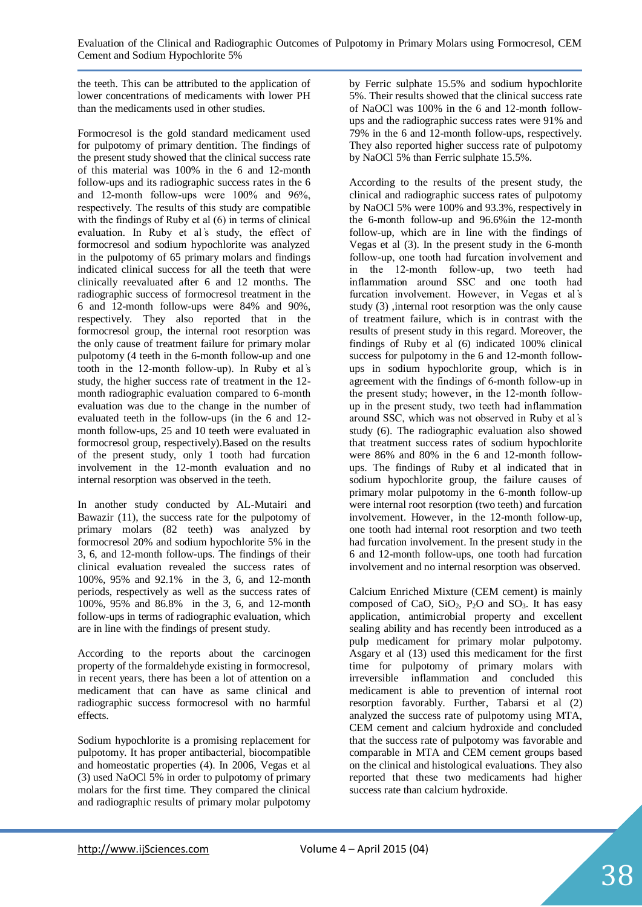the teeth. This can be attributed to the application of lower concentrations of medicaments with lower PH than the medicaments used in other studies.

Formocresol is the gold standard medicament used for pulpotomy of primary dentition. The findings of the present study showed that the clinical success rate of this material was 100% in the 6 and 12-month follow-ups and its radiographic success rates in the 6 and 12-month follow-ups were 100% and 96%, respectively. The results of this study are compatible with the findings of Ruby et al  $(6)$  in terms of clinical evaluation. In Ruby et al's study, the effect of formocresol and sodium hypochlorite was analyzed in the pulpotomy of 65 primary molars and findings indicated clinical success for all the teeth that were clinically reevaluated after 6 and 12 months. The radiographic success of formocresol treatment in the 6 and 12-month follow-ups were 84% and 90%, respectively. They also reported that in the formocresol group, the internal root resorption was the only cause of treatment failure for primary molar pulpotomy (4 teeth in the 6-month follow-up and one tooth in the 12-month follow-up). In Ruby et al's study, the higher success rate of treatment in the 12 month radiographic evaluation compared to 6-month evaluation was due to the change in the number of evaluated teeth in the follow-ups (in the 6 and 12 month follow-ups, 25 and 10 teeth were evaluated in formocresol group, respectively).Based on the results of the present study, only 1 tooth had furcation involvement in the 12-month evaluation and no internal resorption was observed in the teeth.

In another study conducted by AL-Mutairi and Bawazir (11), the success rate for the pulpotomy of primary molars (82 teeth) was analyzed by formocresol 20% and sodium hypochlorite 5% in the 3, 6, and 12-month follow-ups. The findings of their clinical evaluation revealed the success rates of 100%, 95% and 92.1% in the 3, 6, and 12-month periods, respectively as well as the success rates of 100%, 95% and 86.8% in the 3, 6, and 12-month follow-ups in terms of radiographic evaluation, which are in line with the findings of present study.

According to the reports about the carcinogen property of the formaldehyde existing in formocresol, in recent years, there has been a lot of attention on a medicament that can have as same clinical and radiographic success formocresol with no harmful effects.

Sodium hypochlorite is a promising replacement for pulpotomy. It has proper antibacterial, biocompatible and homeostatic properties (4). In 2006, Vegas et al (3) used NaOCl 5% in order to pulpotomy of primary molars for the first time. They compared the clinical and radiographic results of primary molar pulpotomy by Ferric sulphate 15.5% and sodium hypochlorite 5%. Their results showed that the clinical success rate of NaOCl was 100% in the 6 and 12-month followups and the radiographic success rates were 91% and 79% in the 6 and 12-month follow-ups, respectively. They also reported higher success rate of pulpotomy by NaOCl 5% than Ferric sulphate 15.5%.

According to the results of the present study, the clinical and radiographic success rates of pulpotomy by NaOCl 5% were 100% and 93.3%, respectively in the 6-month follow-up and 96.6%in the 12-month follow-up, which are in line with the findings of Vegas et al (3). In the present study in the 6-month follow-up, one tooth had furcation involvement and in the 12-month follow-up, two teeth had inflammation around SSC and one tooth had furcation involvement. However, in Vegas et al's study (3) ,internal root resorption was the only cause of treatment failure, which is in contrast with the results of present study in this regard. Moreover, the findings of Ruby et al (6) indicated 100% clinical success for pulpotomy in the 6 and 12-month followups in sodium hypochlorite group, which is in agreement with the findings of 6-month follow-up in the present study; however, in the 12-month followup in the present study, two teeth had inflammation around SSC, which was not observed in Ruby et al ҆s study (6). The radiographic evaluation also showed that treatment success rates of sodium hypochlorite were 86% and 80% in the 6 and 12-month followups. The findings of Ruby et al indicated that in sodium hypochlorite group, the failure causes of primary molar pulpotomy in the 6-month follow-up were internal root resorption (two teeth) and furcation involvement. However, in the 12-month follow-up, one tooth had internal root resorption and two teeth had furcation involvement. In the present study in the 6 and 12-month follow-ups, one tooth had furcation involvement and no internal resorption was observed.

Calcium Enriched Mixture (CEM cement) is mainly composed of CaO,  $SiO<sub>2</sub>$ ,  $P<sub>2</sub>O$  and  $SO<sub>3</sub>$ . It has easy application, antimicrobial property and excellent sealing ability and has recently been introduced as a pulp medicament for primary molar pulpotomy. Asgary et al (13) used this medicament for the first time for pulpotomy of primary molars with irreversible inflammation and concluded this medicament is able to prevention of internal root resorption favorably. Further, Tabarsi et al (2) analyzed the success rate of pulpotomy using MTA, CEM cement and calcium hydroxide and concluded that the success rate of pulpotomy was favorable and comparable in MTA and CEM cement groups based on the clinical and histological evaluations. They also reported that these two medicaments had higher success rate than calcium hydroxide.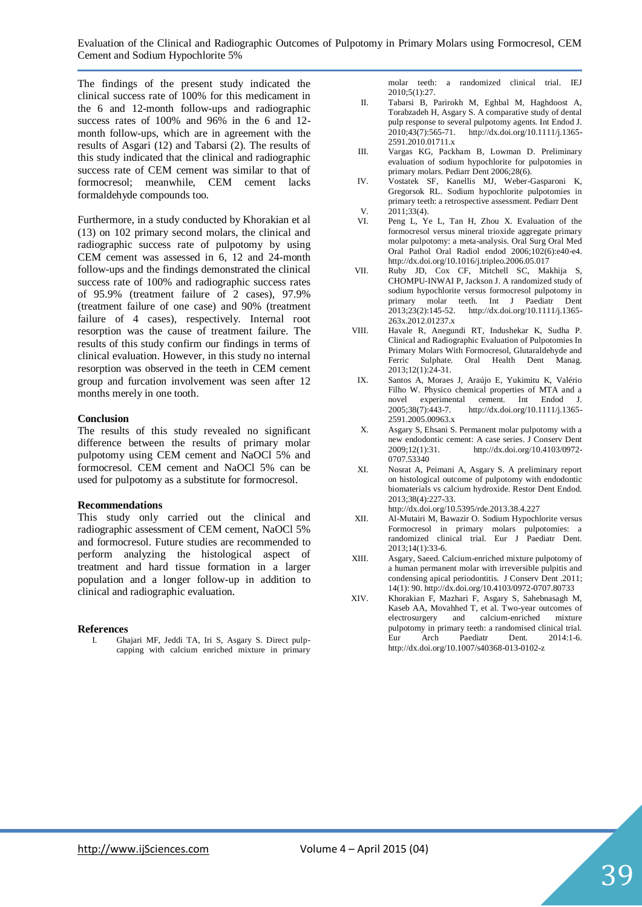The findings of the present study indicated the clinical success rate of 100% for this medicament in the 6 and 12-month follow-ups and radiographic success rates of 100% and 96% in the 6 and 12 month follow-ups, which are in agreement with the results of Asgari (12) and Tabarsi (2). The results of this study indicated that the clinical and radiographic success rate of CEM cement was similar to that of formocresol; meanwhile, CEM cement lacks formaldehyde compounds too.

Furthermore, in a study conducted by Khorakian et al (13) on 102 primary second molars, the clinical and radiographic success rate of pulpotomy by using CEM cement was assessed in 6, 12 and 24-month follow-ups and the findings demonstrated the clinical success rate of 100% and radiographic success rates of 95.9% (treatment failure of 2 cases), 97.9% (treatment failure of one case) and 90% (treatment failure of 4 cases), respectively. Internal root resorption was the cause of treatment failure. The results of this study confirm our findings in terms of clinical evaluation. However, in this study no internal resorption was observed in the teeth in CEM cement group and furcation involvement was seen after 12 months merely in one tooth.

#### **Conclusion**

The results of this study revealed no significant difference between the results of primary molar pulpotomy using CEM cement and NaOCl 5% and formocresol. CEM cement and NaOCl 5% can be used for pulpotomy as a substitute for formocresol.

#### **Recommendations**

This study only carried out the clinical and radiographic assessment of CEM cement, NaOCl 5% and formocresol. Future studies are recommended to perform analyzing the histological aspect of treatment and hard tissue formation in a larger population and a longer follow-up in addition to clinical and radiographic evaluation.

#### **References**

I. Ghajari MF, Jeddi TA, Iri S, Asgary S. Direct pulpcapping with calcium enriched mixture in primary

molar teeth: a randomized clinical trial. IEJ 2010;5(1):27.

- II. Tabarsi B, Parirokh M, Eghbal M, Haghdoost A, Torabzadeh H, Asgary S. A comparative study of dental pulp response to several pulpotomy agents. Int Endod J. 2010;43(7):565-71. http://dx.doi.org/10.1111/j.1365- 2591.2010.01711.x
- III. Vargas KG, Packham B, Lowman D. Preliminary evaluation of sodium hypochlorite for pulpotomies in primary molars. Pediarr Dent 2006;28(6).
- IV. Vostatek SF, Kanellis MJ, Weber-Gasparoni K, Gregorsok RL. Sodium hypochlorite pulpotomies in primary teeth: a retrospective assessment. Pediarr Dent
- V. 2011;33(4).<br>VI. Peng L. Y Peng L, Ye L, Tan H, Zhou X. Evaluation of the formocresol versus mineral trioxide aggregate primary molar pulpotomy: a meta-analysis. Oral Surg Oral Med Oral Pathol Oral Radiol endod 2006;102(6):e40-e4. http://dx.doi.org/10.1016/j.tripleo.2006.05.017
- VII. Ruby JD, Cox CF, Mitchell SC, Makhija S, CHOMPU‐INWAI P, Jackson J. A randomized study of sodium hypochlorite versus formocresol pulpotomy in primary molar teeth. Int J Paediatr Dent 2013;23(2):145-52. http://dx.doi.org/10.1111/j.1365-2013;23(2):145-52. http://dx.doi.org/10.1111/j.1365- 263x.2012.01237.x
- VIII. Havale R, Anegundi RT, Indushekar K, Sudha P. Clinical and Radiographic Evaluation of Pulpotomies In Primary Molars With Formocresol, Glutaraldehyde and Ferric Sulphate. Oral Health Dent Manag. 2013;12(1):24-31.
- IX. Santos A, Moraes J, Araújo E, Yukimitu K, Valério Filho W. Physico chemical properties of MTA and a novel experimental cement. Int Endod J. 2005;38(7):443-7. http://dx.doi.org/10.1111/j.1365- 2591.2005.00963.x
- X. Asgary S, Ehsani S. Permanent molar pulpotomy with a new endodontic cement: A case series. J Conserv Dent 2009;12(1):31. http://dx.doi.org/10.4103/0972- 0707.53340
- XI. Nosrat A, Peimani A, Asgary S. A preliminary report on histological outcome of pulpotomy with endodontic biomaterials vs calcium hydroxide. Restor Dent Endod. 2013;38(4):227-33. http://dx.doi.org/10.5395/rde.2013.38.4.227
- XII. Al-Mutairi M, Bawazir O. Sodium Hypochlorite versus Formocresol in primary molars pulpotomies: a randomized clinical trial. Eur J Paediatr Dent. 2013;14(1):33-6.
- XIII. Asgary, Saeed. Calcium-enriched mixture pulpotomy of a human permanent molar with irreversible pulpitis and condensing apical periodontitis. J Conserv Dent .2011; 14(1): 90. http://dx.doi.org/10.4103/0972-0707.80733
- XIV. Khorakian F, Mazhari F, Asgary S, Sahebnasagh M, Kaseb AA, Movahhed T, et al. Two-year outcomes of electrosurgery and calcium-enriched mixture pulpotomy in primary teeth: a randomised clinical trial. Eur Arch Paediatr Dent. 2014:1-6. http://dx.doi.org/10.1007/s40368-013-0102-z